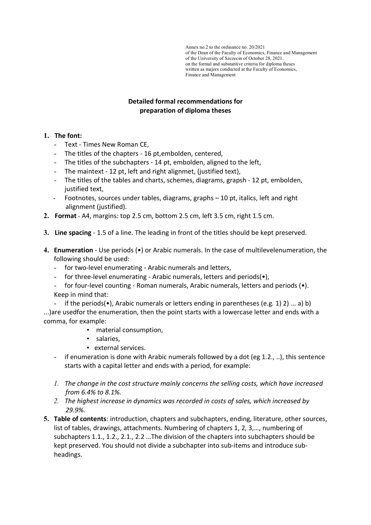# Detailed formal recommendations for preparation of diploma theses

- 1. The font:
	- Text Times New Roman CE,
	- The titles of the chapters 16 pt,embolden, centered,
	- The titles of the subchapters 14 pt, embolden, aligned to the left,
	- The maintext 12 pt, left and right alignmet, (justified text),
	- The titles of the tables and charts, schemes, diagrams, grapsh 12 pt, embolden, justified text.
	- Footnotes, sources under tables, diagrams, graphs 10 pt, italics, left and right alignment (justified).
- 2. Format A4, margins: top 2.5 cm, bottom 2.5 cm, left 3.5 cm, right 1.5 cm.
- 3. Line spacing 1.5 of a line. The leading in front of the titles should be kept preserved.
- 4. Enumeration Use periods (•) or Arabic numerals. In the case of multilevelenumeration, the following should be used:
	- for two-level enumerating Arabic numerals and letters,
	- for three-level enumerating Arabic numerals, letters and periods( $\bullet$ ),
	- for four-level counting Roman numerals, Arabic numerals, letters and periods ( $\bullet$ ). Keep in mind that:
- if the periods( $\bullet$ ), Arabic numerals or letters ending in parentheses (e.g. 1) 2) ... a) b) ...)are usedfor the enumeration, then the point starts with a lowercase letter and ends with a comma, for example:
	- material consumption,
	- salaries,
	- external services.
	- if enumeration is done with Arabic numerals followed by a dot (eg 1.2., ..), this sentence starts with a capital letter and ends with a period, for example:
	- 1. The change in the cost structure mainly concerns the selling costs, which have increased from 6.4% to 8.1%.
	- 2. The highest increase in dynamics was recorded in costs of sales, which increased by 29.9%.
- 5. Table of contents: introduction, chapters and subchapters, ending, literature, other sources, list of tables, drawings, attachments. Numbering of chapters 1, 2, 3,…, numbering of subchapters 1.1., 1.2., 2.1., 2.2 …The division of the chapters into subchapters should be kept preserved. You should not divide a subchapter into sub-items and introduce subheadings.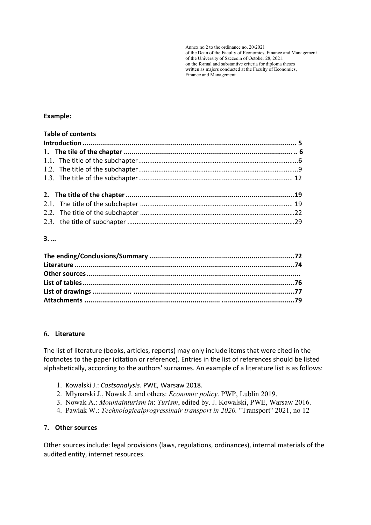## Example:

| <b>Table of contents</b> |  |
|--------------------------|--|
|                          |  |
|                          |  |
|                          |  |
|                          |  |
|                          |  |
|                          |  |
|                          |  |
|                          |  |
|                          |  |

# 3. …

#### 6. Literature

The list of literature (books, articles, reports) may only include items that were cited in the footnotes to the paper (citation or reference). Entries in the list of references should be listed alphabetically, according to the authors' surnames. An example of a literature list is as follows:

- 1. Kowalski J.: Costsanalysis. PWE, Warsaw 2018.
- 2. Młynarski J., Nowak J. and others: Economic policy. PWP, Lublin 2019.
- 3. Nowak A.: Mountainturism in: Turism, edited by. J. Kowalski, PWE, Warsaw 2016.
- 4. Pawlak W.: Technologicalprogressinair transport in 2020. "Transport" 2021, no 12

# 7. Other sources

Other sources include: legal provisions (laws, regulations, ordinances), internal materials of the audited entity, internet resources.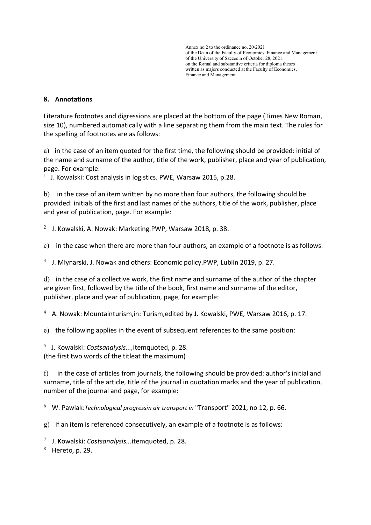## 8. Annotations

Literature footnotes and digressions are placed at the bottom of the page (Times New Roman, size 10), numbered automatically with a line separating them from the main text. The rules for the spelling of footnotes are as follows:

a) in the case of an item quoted for the first time, the following should be provided: initial of the name and surname of the author, title of the work, publisher, place and year of publication, page. For example:

 $<sup>1</sup>$  J. Kowalski: Cost analysis in logistics. PWE, Warsaw 2015, p.28.</sup>

b) in the case of an item written by no more than four authors, the following should be provided: initials of the first and last names of the authors, title of the work, publisher, place and year of publication, page. For example:

 $2$  J. Kowalski, A. Nowak: Marketing. PWP, Warsaw 2018, p. 38.

c) in the case when there are more than four authors, an example of a footnote is as follows:

 $3$  J. Młynarski, J. Nowak and others: Economic policy.PWP, Lublin 2019, p. 27.

d) in the case of a collective work, the first name and surname of the author of the chapter are given first, followed by the title of the book, first name and surname of the editor, publisher, place and year of publication, page, for example:

 $4$  A. Nowak: Mountainturism, in: Turism, edited by J. Kowalski, PWE, Warsaw 2016, p. 17.

e) the following applies in the event of subsequent references to the same position:

 $5$  J. Kowalski: Costsanalysis..., itemquoted, p. 28. (the first two words of the titleat the maximum)

f) in the case of articles from journals, the following should be provided: author's initial and surname, title of the article, title of the journal in quotation marks and the year of publication, number of the journal and page, for example:

 $6$  W. Pawlak: Technological progressin air transport in "Transport" 2021, no 12, p. 66.

g) if an item is referenced consecutively, an example of a footnote is as follows:

 $7$  J. Kowalski: Costsanalysis...itemquoted, p. 28.

 $8$  Hereto, p. 29.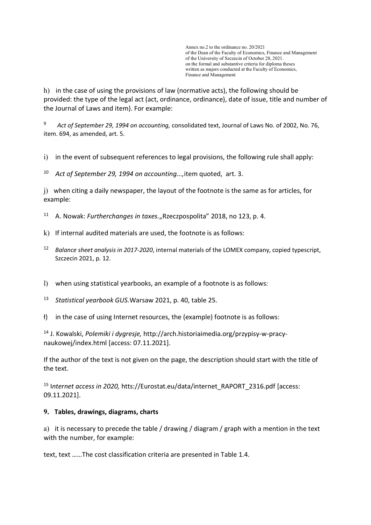h) in the case of using the provisions of law (normative acts), the following should be provided: the type of the legal act (act, ordinance, ordinance), date of issue, title and number of the Journal of Laws and item). For example:

<sup>9</sup> Act of September 29, 1994 on accounting, consolidated text, Journal of Laws No. of 2002, No. 76, item. 694, as amended, art. 5.

i) in the event of subsequent references to legal provisions, the following rule shall apply:

 $10$  Act of September 29, 1994 on accounting..., item quoted, art. 3.

j) when citing a daily newspaper, the layout of the footnote is the same as for articles, for example:

- $11$  A. Nowak: Furtherchanges in taxes. "Rzeczpospolita" 2018, no 123, p. 4.
- k) If internal audited materials are used, the footnote is as follows:
- <sup>12</sup> Balance sheet analysis in 2017-2020, internal materials of the LOMEX company, copied typescript, Szczecin 2021, p. 12.
- l) when using statistical yearbooks, an example of a footnote is as follows:
- 13 Statistical yearbook GUS. Warsaw 2021, p. 40, table 25.
- ł) in the case of using Internet resources, the (example) footnote is as follows:

14 J. Kowalski, Polemiki i dygresje, http://arch.historiaimedia.org/przypisy-w-pracynaukowej/index.html [access: 07.11.2021].

If the author of the text is not given on the page, the description should start with the title of the text.

<sup>15</sup> Internet access in 2020, htts://Eurostat.eu/data/internet\_RAPORT\_2316.pdf [access: 09.11.2021].

#### 9. Tables, drawings, diagrams, charts

a) it is necessary to precede the table / drawing / diagram / graph with a mention in the text with the number, for example:

text, text ……The cost classification criteria are presented in Table 1.4.